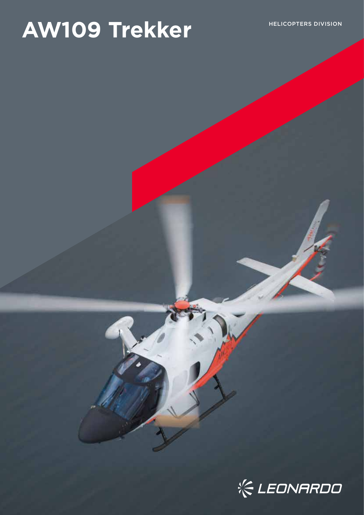# AW109 Trekker
HELICOPTERS DIVISION

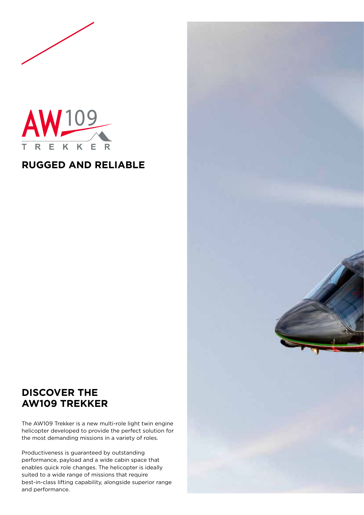



### **RUGGED AND RELIABLE**

### **DISCOVER THE AW109 TREKKER**

The AW109 Trekker is a new multi-role light twin engine helicopter developed to provide the perfect solution for the most demanding missions in a variety of roles.

Productiveness is guaranteed by outstanding performance, payload and a wide cabin space that enables quick role changes. The helicopter is ideally suited to a wide range of missions that require best-in-class lifting capability, alongside superior range and performance.

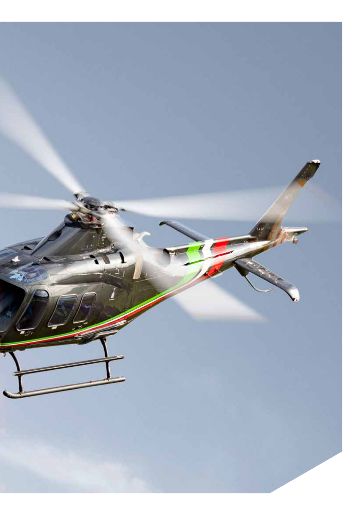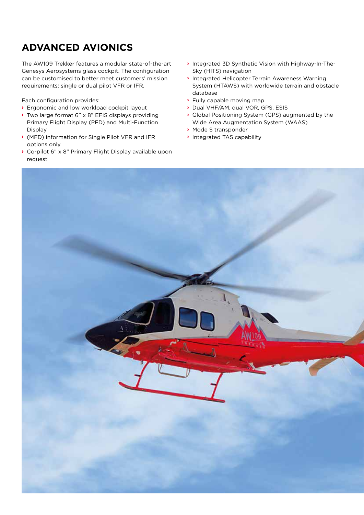## **ADVANCED AVIONICS**

The AW109 Trekker features a modular state-of-the-art Genesys Aerosystems glass cockpit. The configuration can be customised to better meet customers' mission requirements: single or dual pilot VFR or IFR.

Each configuration provides:

- **›** Ergonomic and low workload cockpit layout
- **›** Two large format 6" x 8" EFIS displays providing Primary Flight Display (PFD) and Multi-Function Display
- **›** (MFD) information for Single Pilot VFR and IFR options only
- **›** Co-pilot 6" x 8" Primary Flight Display available upon request
- **›** Integrated 3D Synthetic Vision with Highway-In-The-Sky (HITS) navigation
- **›** Integrated Helicopter Terrain Awareness Warning System (HTAWS) with worldwide terrain and obstacle database
- **›** Fully capable moving map
- **›** Dual VHF/AM, dual VOR, GPS, ESIS
- **›** Global Positioning System (GPS) augmented by the Wide Area Augmentation System (WAAS)
- **›** Mode S transponder
- **›** Integrated TAS capability

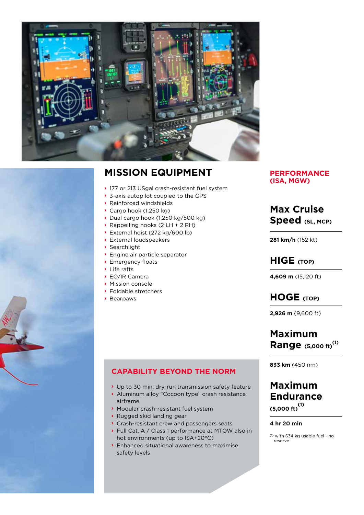

### **MISSION EQUIPMENT**

- **›** 177 or 213 USgal crash-resistant fuel system
- **›** 3-axis autopilot coupled to the GPS
- **›** Reinforced windshields
- **›** Cargo hook (1,250 kg)
- **›** Dual cargo hook (1,250 kg/500 kg)
- **›** Rappelling hooks (2 LH + 2 RH)
- **›** External hoist (272 kg/600 lb)
- **›** External loudspeakers
- **›** Searchlight
- **›** Engine air particle separator
- **›** Emergency floats
- **›** Life rafts
- **›** EO/IR Camera
- **›** Mission console
- **›** Foldable stretchers
- **›** Bearpaws

#### **PERFORMANCE (ISA, MGW)**

### **Max Cruise Speed (SL, MCP)**

**281 km/h** (152 kt)

### **HIGE (TOP)**

**4,609 m** (15,120 ft)

#### **HOGE (TOP)**

**2,926 m** (9,600 ft)

### **Maximum Range (5,000 ft) (1)**

**CAPABILITY BEYOND THE NORM**

- **›** Up to 30 min. dry-run transmission safety feature
- **›** Aluminum alloy "Cocoon type" crash resistance airframe
- **›** Modular crash-resistant fuel system
- **›** Rugged skid landing gear
- **›** Crash-resistant crew and passengers seats
- **›** Full Cat. A / Class 1 performance at MTOW also in hot environments (up to ISA+20°C)
- **›** Enhanced situational awareness to maximise safety levels

#### **833 km** (450 nm)

### **Maximum Endurance (5,000 ft) (1)**

#### **4 hr 20 min**

(1) with 634 kg usable fuel - no reserve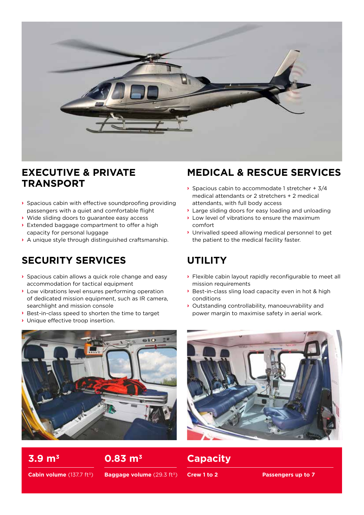

### **EXECUTIVE & PRIVATE TRANSPORT**

- **›** Spacious cabin with effective soundproofing providing passengers with a quiet and comfortable flight
- **›** Wide sliding doors to guarantee easy access
- **›** Extended baggage compartment to offer a high capacity for personal luggage
- **›** A unique style through distinguished craftsmanship.

## **SECURITY SERVICES**

- **›** Spacious cabin allows a quick role change and easy accommodation for tactical equipment
- **›** Low vibrations level ensures performing operation of dedicated mission equipment, such as IR camera, searchlight and mission console
- **›** Best-in-class speed to shorten the time to target
- **›** Unique effective troop insertion.

### **MEDICAL & RESCUE SERVICES**

- **›** Spacious cabin to accommodate 1 stretcher + 3/4 medical attendants or 2 stretchers + 2 medical attendants, with full body access
- **›** Large sliding doors for easy loading and unloading
- **›** Low level of vibrations to ensure the maximum comfort
- **›** Unrivalled speed allowing medical personnel to get the patient to the medical facility faster.

### **UTILITY**

- **›** Flexible cabin layout rapidly reconfigurable to meet all mission requirements
- **›** Best-in-class sling load capacity even in hot & high conditions
- **›** Outstanding controllability, manoeuvrability and power margin to maximise safety in aerial work.



### **3.9 m3**

### **0.83 m3**

**Cabin volume** (137.7 ft3)



**Baggage volume** (29.3 ft<sup>3</sup>) **Crew 1 to 2 Passengers up to 7**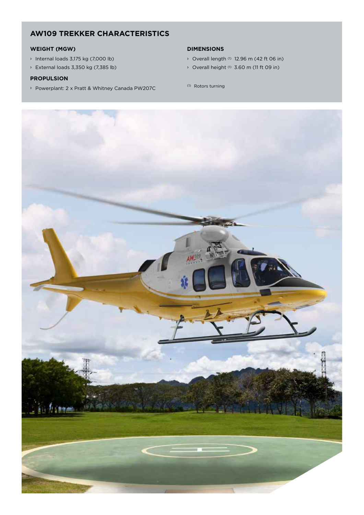### **AW109 TREKKER CHARACTERISTICS**

#### **WEIGHT (MGW)**

- › Internal loads 3,175 kg (7,000 lb)
- › External loads 3,350 kg (7,385 lb)

#### **PROPULSION**

› Powerplant: 2 x Pratt & Whitney Canada PW207C

#### **DIMENSIONS**

- › Overall length (1) 12.96 m (42 ft 06 in)
- › Overall height (1) 3.60 m (11 ft 09 in)
- (1) Rotors turning